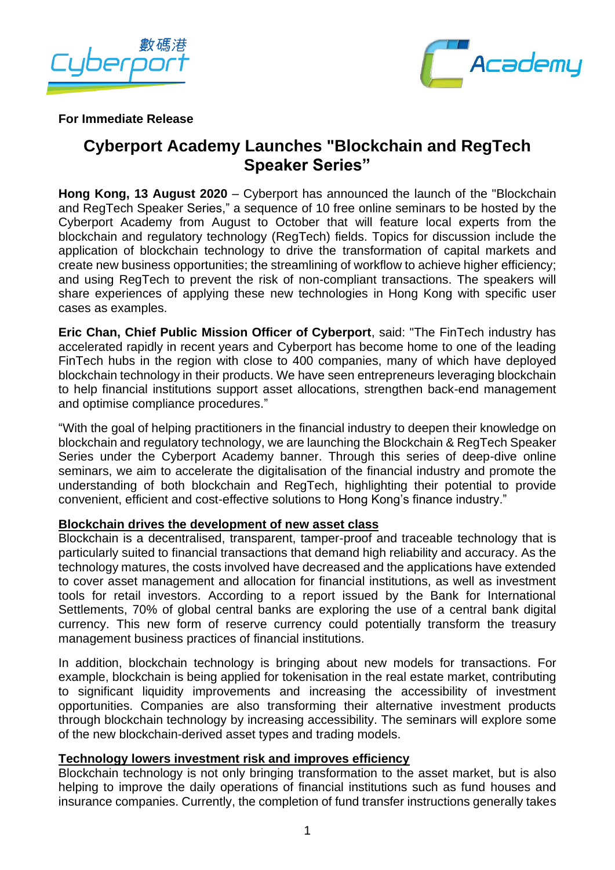



#### **For Immediate Release**

# **Cyberport Academy Launches "Blockchain and RegTech Speaker Series"**

**Hong Kong, 13 August 2020** – Cyberport has announced the launch of the "Blockchain and RegTech Speaker Series," a sequence of 10 free online seminars to be hosted by the Cyberport Academy from August to October that will feature local experts from the blockchain and regulatory technology (RegTech) fields. Topics for discussion include the application of blockchain technology to drive the transformation of capital markets and create new business opportunities; the streamlining of workflow to achieve higher efficiency; and using RegTech to prevent the risk of non-compliant transactions. The speakers will share experiences of applying these new technologies in Hong Kong with specific user cases as examples.

**Eric Chan, Chief Public Mission Officer of Cyberport**, said: "The FinTech industry has accelerated rapidly in recent years and Cyberport has become home to one of the leading FinTech hubs in the region with close to 400 companies, many of which have deployed blockchain technology in their products. We have seen entrepreneurs leveraging blockchain to help financial institutions support asset allocations, strengthen back-end management and optimise compliance procedures."

"With the goal of helping practitioners in the financial industry to deepen their knowledge on blockchain and regulatory technology, we are launching the Blockchain & RegTech Speaker Series under the Cyberport Academy banner. Through this series of deep-dive online seminars, we aim to accelerate the digitalisation of the financial industry and promote the understanding of both blockchain and RegTech, highlighting their potential to provide convenient, efficient and cost-effective solutions to Hong Kong's finance industry."

## **Blockchain drives the development of new asset class**

Blockchain is a decentralised, transparent, tamper-proof and traceable technology that is particularly suited to financial transactions that demand high reliability and accuracy. As the technology matures, the costs involved have decreased and the applications have extended to cover asset management and allocation for financial institutions, as well as investment tools for retail investors. According to a report issued by the Bank for International Settlements, 70% of global central banks are exploring the use of a central bank digital currency. This new form of reserve currency could potentially transform the treasury management business practices of financial institutions.

In addition, blockchain technology is bringing about new models for transactions. For example, blockchain is being applied for tokenisation in the real estate market, contributing to significant liquidity improvements and increasing the accessibility of investment opportunities. Companies are also transforming their alternative investment products through blockchain technology by increasing accessibility. The seminars will explore some of the new blockchain-derived asset types and trading models.

## **Technology lowers investment risk and improves efficiency**

Blockchain technology is not only bringing transformation to the asset market, but is also helping to improve the daily operations of financial institutions such as fund houses and insurance companies. Currently, the completion of fund transfer instructions generally takes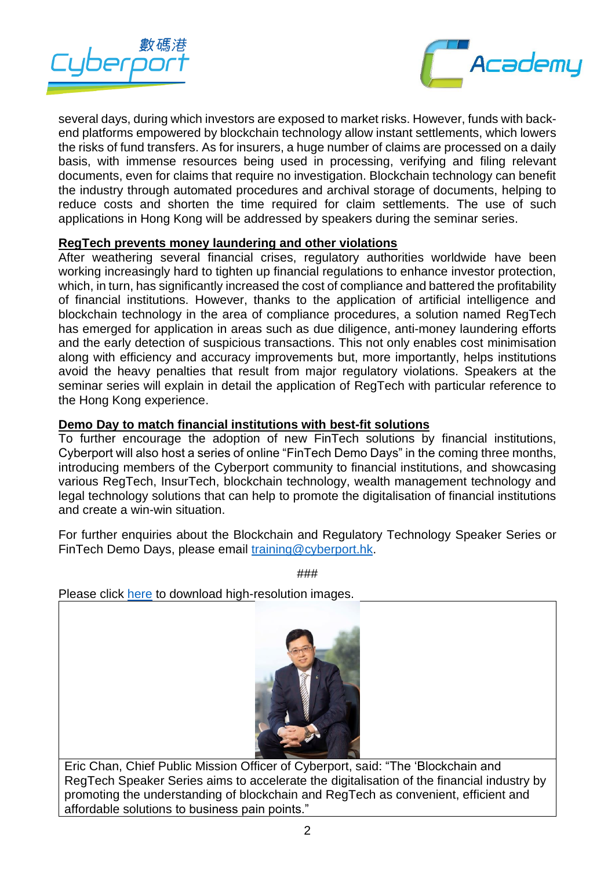



several days, during which investors are exposed to market risks. However, funds with backend platforms empowered by blockchain technology allow instant settlements, which lowers the risks of fund transfers. As for insurers, a huge number of claims are processed on a daily basis, with immense resources being used in processing, verifying and filing relevant documents, even for claims that require no investigation. Blockchain technology can benefit the industry through automated procedures and archival storage of documents, helping to reduce costs and shorten the time required for claim settlements. The use of such applications in Hong Kong will be addressed by speakers during the seminar series.

#### **RegTech prevents money laundering and other violations**

After weathering several financial crises, regulatory authorities worldwide have been working increasingly hard to tighten up financial regulations to enhance investor protection, which, in turn, has significantly increased the cost of compliance and battered the profitability of financial institutions. However, thanks to the application of artificial intelligence and blockchain technology in the area of compliance procedures, a solution named RegTech has emerged for application in areas such as due diligence, anti-money laundering efforts and the early detection of suspicious transactions. This not only enables cost minimisation along with efficiency and accuracy improvements but, more importantly, helps institutions avoid the heavy penalties that result from major regulatory violations. Speakers at the seminar series will explain in detail the application of RegTech with particular reference to the Hong Kong experience.

#### **Demo Day to match financial institutions with best-fit solutions**

To further encourage the adoption of new FinTech solutions by financial institutions, Cyberport will also host a series of online "FinTech Demo Days" in the coming three months, introducing members of the Cyberport community to financial institutions, and showcasing various RegTech, InsurTech, blockchain technology, wealth management technology and legal technology solutions that can help to promote the digitalisation of financial institutions and create a win-win situation.

For further enquiries about the Blockchain and Regulatory Technology Speaker Series or FinTech Demo Days, please email [training@cyberport.hk.](mailto:training@cyberport.hk)

###

Please click [here](https://drive.google.com/drive/folders/1xdm8aBCdyCnpb0t3MsxDLWLN3RNK8H_F?usp=sharing) to download high-resolution images.



Eric Chan, Chief Public Mission Officer of Cyberport, said: "The 'Blockchain and RegTech Speaker Series aims to accelerate the digitalisation of the financial industry by promoting the understanding of blockchain and RegTech as convenient, efficient and affordable solutions to business pain points."

2